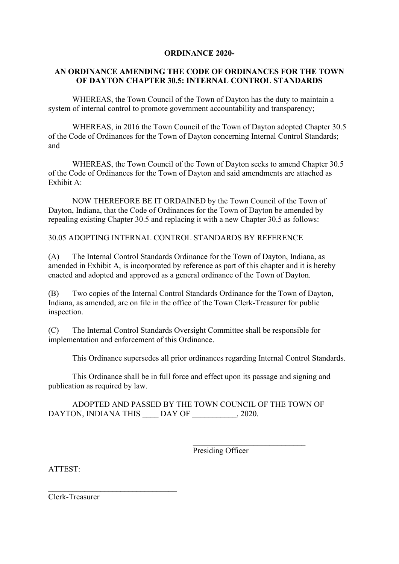## **ORDINANCE 2020-**

## **AN ORDINANCE AMENDING THE CODE OF ORDINANCES FOR THE TOWN OF DAYTON CHAPTER 30.5: INTERNAL CONTROL STANDARDS**

WHEREAS, the Town Council of the Town of Dayton has the duty to maintain a system of internal control to promote government accountability and transparency;

WHEREAS, in 2016 the Town Council of the Town of Dayton adopted Chapter 30.5 of the Code of Ordinances for the Town of Dayton concerning Internal Control Standards; and

WHEREAS, the Town Council of the Town of Dayton seeks to amend Chapter 30.5 of the Code of Ordinances for the Town of Dayton and said amendments are attached as Exhibit A:

NOW THEREFORE BE IT ORDAINED by the Town Council of the Town of Dayton, Indiana, that the Code of Ordinances for the Town of Dayton be amended by repealing existing Chapter 30.5 and replacing it with a new Chapter 30.5 as follows:

30.05 ADOPTING INTERNAL CONTROL STANDARDS BY REFERENCE

(A) The Internal Control Standards Ordinance for the Town of Dayton, Indiana, as amended in Exhibit A, is incorporated by reference as part of this chapter and it is hereby enacted and adopted and approved as a general ordinance of the Town of Dayton.

(B) Two copies of the Internal Control Standards Ordinance for the Town of Dayton, Indiana, as amended, are on file in the office of the Town Clerk-Treasurer for public inspection.

(C) The Internal Control Standards Oversight Committee shall be responsible for implementation and enforcement of this Ordinance.

This Ordinance supersedes all prior ordinances regarding Internal Control Standards.

This Ordinance shall be in full force and effect upon its passage and signing and publication as required by law.

ADOPTED AND PASSED BY THE TOWN COUNCIL OF THE TOWN OF DAYTON, INDIANA THIS DAY OF , 2020.

Presiding Officer

**\_\_\_\_\_\_\_\_\_\_\_\_\_\_\_\_\_\_\_\_\_\_\_\_\_\_\_\_**

ATTEST:

Clerk-Treasurer

\_\_\_\_\_\_\_\_\_\_\_\_\_\_\_\_\_\_\_\_\_\_\_\_\_\_\_\_\_\_\_\_